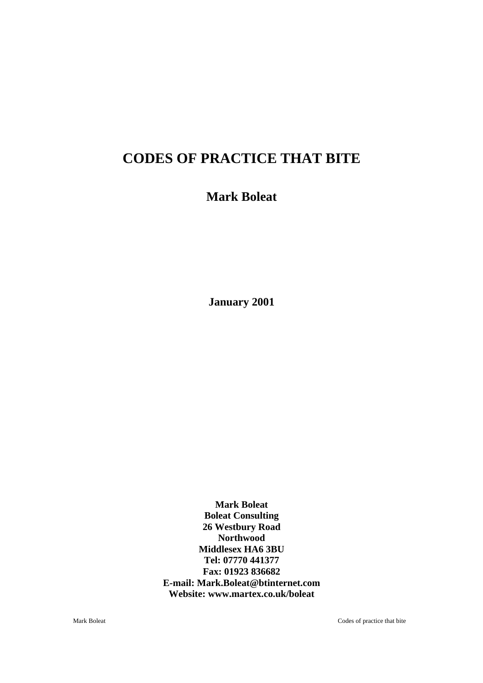# **CODES OF PRACTICE THAT BITE**

## **Mark Boleat**

**January 2001**

**Mark Boleat Boleat Consulting 26 Westbury Road Northwood Middlesex HA6 3BU Tel: 07770 441377 Fax: 01923 836682 E-mail: Mark.Boleat@btinternet.com Website: www.martex.co.uk/boleat** 

Mark Boleat Codes of practice that bite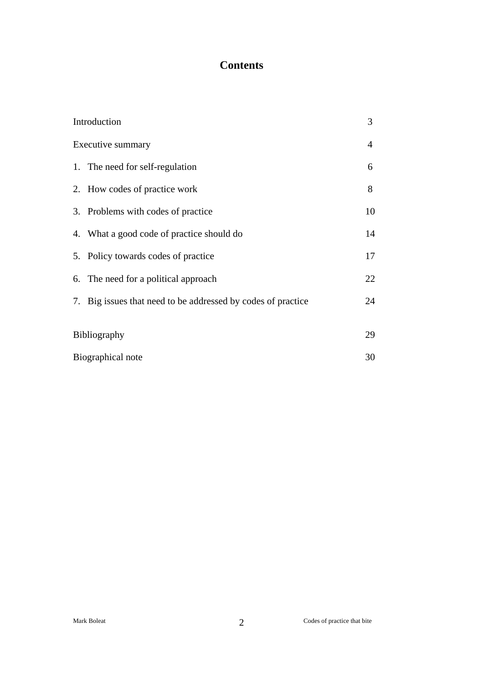## **Contents**

| Introduction<br>Executive summary |                                                              | 3  |
|-----------------------------------|--------------------------------------------------------------|----|
|                                   |                                                              | 4  |
|                                   | 1. The need for self-regulation                              | 6  |
|                                   | 2. How codes of practice work                                | 8  |
|                                   | 3. Problems with codes of practice                           | 10 |
|                                   | 4. What a good code of practice should do                    | 14 |
|                                   | 5. Policy towards codes of practice                          | 17 |
|                                   | 6. The need for a political approach                         | 22 |
|                                   | 7. Big issues that need to be addressed by codes of practice | 24 |
|                                   |                                                              | 29 |
| <b>Bibliography</b>               |                                                              |    |
| Biographical note                 |                                                              | 30 |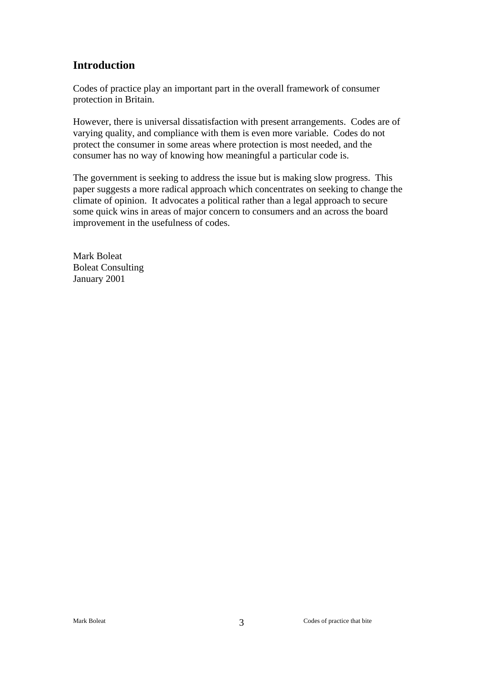## **Introduction**

Codes of practice play an important part in the overall framework of consumer protection in Britain.

However, there is universal dissatisfaction with present arrangements. Codes are of varying quality, and compliance with them is even more variable. Codes do not protect the consumer in some areas where protection is most needed, and the consumer has no way of knowing how meaningful a particular code is.

The government is seeking to address the issue but is making slow progress. This paper suggests a more radical approach which concentrates on seeking to change the climate of opinion. It advocates a political rather than a legal approach to secure some quick wins in areas of major concern to consumers and an across the board improvement in the usefulness of codes.

Mark Boleat Boleat Consulting January 2001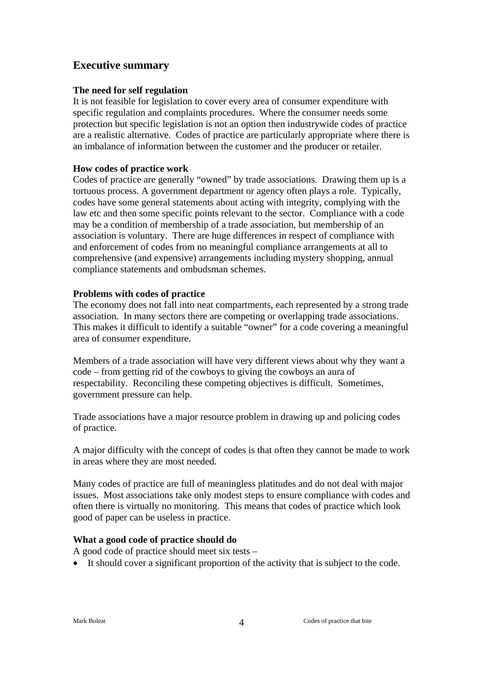### **Executive summary**

#### **The need for self regulation**

It is not feasible for legislation to cover every area of consumer expenditure with specific regulation and complaints procedures. Where the consumer needs some protection but specific legislation is not an option then industrywide codes of practice are a realistic alternative. Codes of practice are particularly appropriate where there is an imbalance of information between the customer and the producer or retailer.

#### **How codes of practice work**

Codes of practice are generally "owned" by trade associations. Drawing them up is a tortuous process. A government department or agency often plays a role. Typically, codes have some general statements about acting with integrity, complying with the law etc and then some specific points relevant to the sector. Compliance with a code may be a condition of membership of a trade association, but membership of an association is voluntary. There are huge differences in respect of compliance with and enforcement of codes from no meaningful compliance arrangements at all to comprehensive (and expensive) arrangements including mystery shopping, annual compliance statements and ombudsman schemes.

#### **Problems with codes of practice**

The economy does not fall into neat compartments, each represented by a strong trade association. In many sectors there are competing or overlapping trade associations. This makes it difficult to identify a suitable "owner" for a code covering a meaningful area of consumer expenditure.

Members of a trade association will have very different views about why they want a code – from getting rid of the cowboys to giving the cowboys an aura of respectability. Reconciling these competing objectives is difficult. Sometimes, government pressure can help.

Trade associations have a major resource problem in drawing up and policing codes of practice.

A major difficulty with the concept of codes is that often they cannot be made to work in areas where they are most needed.

Many codes of practice are full of meaningless platitudes and do not deal with major issues. Most associations take only modest steps to ensure compliance with codes and often there is virtually no monitoring. This means that codes of practice which look good of paper can be useless in practice.

#### **What a good code of practice should do**

A good code of practice should meet six tests –

• It should cover a significant proportion of the activity that is subject to the code.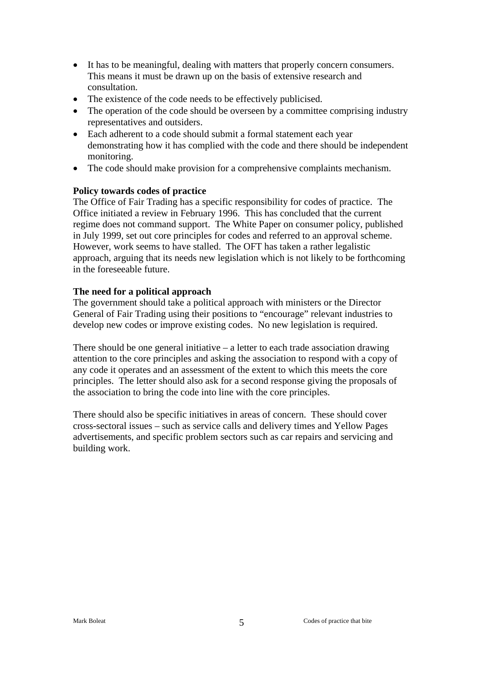- It has to be meaningful, dealing with matters that properly concern consumers. This means it must be drawn up on the basis of extensive research and consultation.
- The existence of the code needs to be effectively publicised.
- The operation of the code should be overseen by a committee comprising industry representatives and outsiders.
- Each adherent to a code should submit a formal statement each year demonstrating how it has complied with the code and there should be independent monitoring.
- The code should make provision for a comprehensive complaints mechanism.

#### **Policy towards codes of practice**

The Office of Fair Trading has a specific responsibility for codes of practice. The Office initiated a review in February 1996. This has concluded that the current regime does not command support. The White Paper on consumer policy, published in July 1999, set out core principles for codes and referred to an approval scheme. However, work seems to have stalled. The OFT has taken a rather legalistic approach, arguing that its needs new legislation which is not likely to be forthcoming in the foreseeable future.

#### **The need for a political approach**

The government should take a political approach with ministers or the Director General of Fair Trading using their positions to "encourage" relevant industries to develop new codes or improve existing codes. No new legislation is required.

There should be one general initiative  $-$  a letter to each trade association drawing attention to the core principles and asking the association to respond with a copy of any code it operates and an assessment of the extent to which this meets the core principles. The letter should also ask for a second response giving the proposals of the association to bring the code into line with the core principles.

There should also be specific initiatives in areas of concern. These should cover cross-sectoral issues – such as service calls and delivery times and Yellow Pages advertisements, and specific problem sectors such as car repairs and servicing and building work.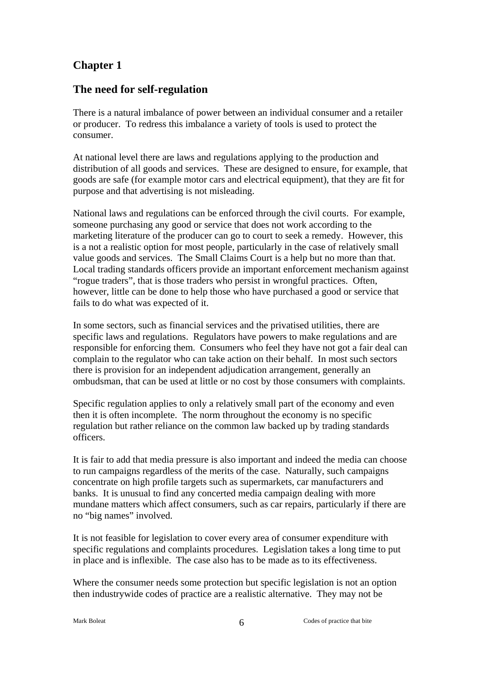### **The need for self-regulation**

There is a natural imbalance of power between an individual consumer and a retailer or producer. To redress this imbalance a variety of tools is used to protect the consumer.

At national level there are laws and regulations applying to the production and distribution of all goods and services. These are designed to ensure, for example, that goods are safe (for example motor cars and electrical equipment), that they are fit for purpose and that advertising is not misleading.

National laws and regulations can be enforced through the civil courts. For example, someone purchasing any good or service that does not work according to the marketing literature of the producer can go to court to seek a remedy. However, this is a not a realistic option for most people, particularly in the case of relatively small value goods and services. The Small Claims Court is a help but no more than that. Local trading standards officers provide an important enforcement mechanism against "rogue traders", that is those traders who persist in wrongful practices. Often, however, little can be done to help those who have purchased a good or service that fails to do what was expected of it.

In some sectors, such as financial services and the privatised utilities, there are specific laws and regulations. Regulators have powers to make regulations and are responsible for enforcing them. Consumers who feel they have not got a fair deal can complain to the regulator who can take action on their behalf. In most such sectors there is provision for an independent adjudication arrangement, generally an ombudsman, that can be used at little or no cost by those consumers with complaints.

Specific regulation applies to only a relatively small part of the economy and even then it is often incomplete. The norm throughout the economy is no specific regulation but rather reliance on the common law backed up by trading standards officers.

It is fair to add that media pressure is also important and indeed the media can choose to run campaigns regardless of the merits of the case. Naturally, such campaigns concentrate on high profile targets such as supermarkets, car manufacturers and banks. It is unusual to find any concerted media campaign dealing with more mundane matters which affect consumers, such as car repairs, particularly if there are no "big names" involved.

It is not feasible for legislation to cover every area of consumer expenditure with specific regulations and complaints procedures. Legislation takes a long time to put in place and is inflexible. The case also has to be made as to its effectiveness.

Where the consumer needs some protection but specific legislation is not an option then industrywide codes of practice are a realistic alternative. They may not be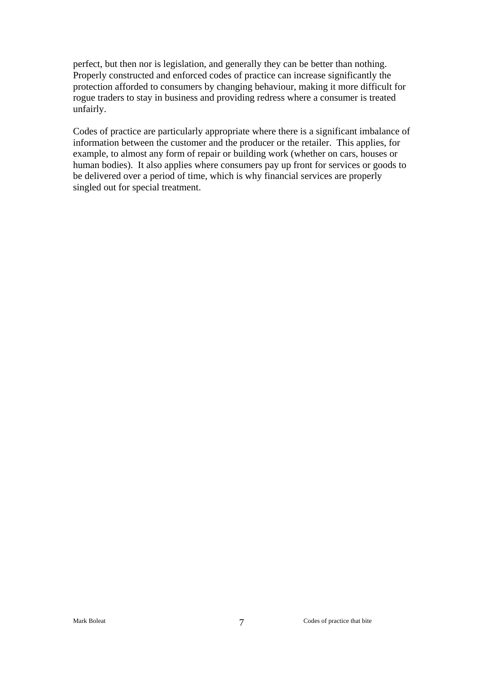perfect, but then nor is legislation, and generally they can be better than nothing. Properly constructed and enforced codes of practice can increase significantly the protection afforded to consumers by changing behaviour, making it more difficult for rogue traders to stay in business and providing redress where a consumer is treated unfairly.

Codes of practice are particularly appropriate where there is a significant imbalance of information between the customer and the producer or the retailer. This applies, for example, to almost any form of repair or building work (whether on cars, houses or human bodies). It also applies where consumers pay up front for services or goods to be delivered over a period of time, which is why financial services are properly singled out for special treatment.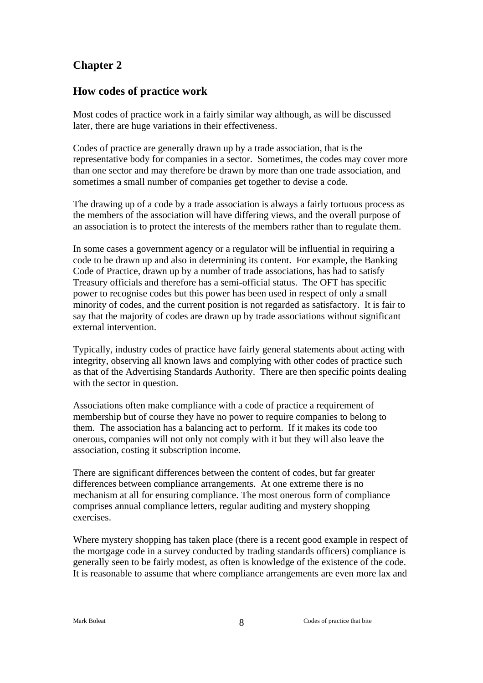### **How codes of practice work**

Most codes of practice work in a fairly similar way although, as will be discussed later, there are huge variations in their effectiveness.

Codes of practice are generally drawn up by a trade association, that is the representative body for companies in a sector. Sometimes, the codes may cover more than one sector and may therefore be drawn by more than one trade association, and sometimes a small number of companies get together to devise a code.

The drawing up of a code by a trade association is always a fairly tortuous process as the members of the association will have differing views, and the overall purpose of an association is to protect the interests of the members rather than to regulate them.

In some cases a government agency or a regulator will be influential in requiring a code to be drawn up and also in determining its content. For example, the Banking Code of Practice, drawn up by a number of trade associations, has had to satisfy Treasury officials and therefore has a semi-official status. The OFT has specific power to recognise codes but this power has been used in respect of only a small minority of codes, and the current position is not regarded as satisfactory. It is fair to say that the majority of codes are drawn up by trade associations without significant external intervention.

Typically, industry codes of practice have fairly general statements about acting with integrity, observing all known laws and complying with other codes of practice such as that of the Advertising Standards Authority. There are then specific points dealing with the sector in question.

Associations often make compliance with a code of practice a requirement of membership but of course they have no power to require companies to belong to them. The association has a balancing act to perform. If it makes its code too onerous, companies will not only not comply with it but they will also leave the association, costing it subscription income.

There are significant differences between the content of codes, but far greater differences between compliance arrangements. At one extreme there is no mechanism at all for ensuring compliance. The most onerous form of compliance comprises annual compliance letters, regular auditing and mystery shopping exercises.

Where mystery shopping has taken place (there is a recent good example in respect of the mortgage code in a survey conducted by trading standards officers) compliance is generally seen to be fairly modest, as often is knowledge of the existence of the code. It is reasonable to assume that where compliance arrangements are even more lax and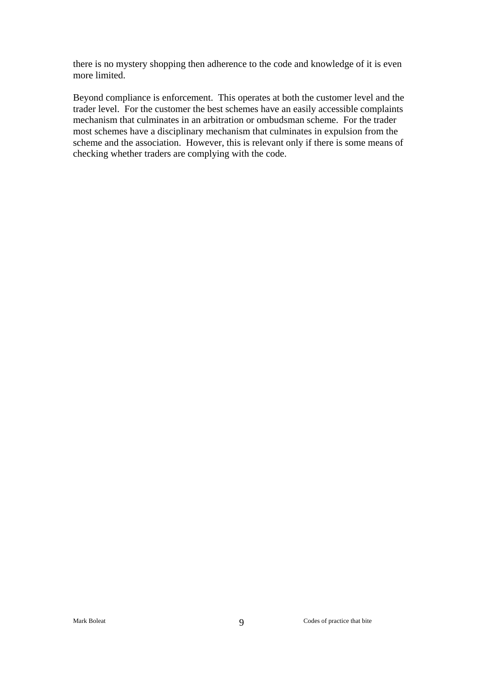there is no mystery shopping then adherence to the code and knowledge of it is even more limited.

Beyond compliance is enforcement. This operates at both the customer level and the trader level. For the customer the best schemes have an easily accessible complaints mechanism that culminates in an arbitration or ombudsman scheme. For the trader most schemes have a disciplinary mechanism that culminates in expulsion from the scheme and the association. However, this is relevant only if there is some means of checking whether traders are complying with the code.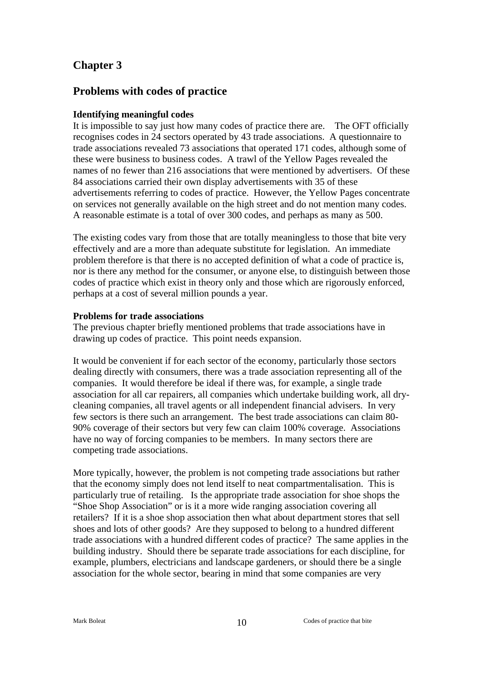### **Problems with codes of practice**

#### **Identifying meaningful codes**

It is impossible to say just how many codes of practice there are. The OFT officially recognises codes in 24 sectors operated by 43 trade associations. A questionnaire to trade associations revealed 73 associations that operated 171 codes, although some of these were business to business codes. A trawl of the Yellow Pages revealed the names of no fewer than 216 associations that were mentioned by advertisers. Of these 84 associations carried their own display advertisements with 35 of these advertisements referring to codes of practice. However, the Yellow Pages concentrate on services not generally available on the high street and do not mention many codes. A reasonable estimate is a total of over 300 codes, and perhaps as many as 500.

The existing codes vary from those that are totally meaningless to those that bite very effectively and are a more than adequate substitute for legislation. An immediate problem therefore is that there is no accepted definition of what a code of practice is, nor is there any method for the consumer, or anyone else, to distinguish between those codes of practice which exist in theory only and those which are rigorously enforced, perhaps at a cost of several million pounds a year.

#### **Problems for trade associations**

The previous chapter briefly mentioned problems that trade associations have in drawing up codes of practice. This point needs expansion.

It would be convenient if for each sector of the economy, particularly those sectors dealing directly with consumers, there was a trade association representing all of the companies. It would therefore be ideal if there was, for example, a single trade association for all car repairers, all companies which undertake building work, all drycleaning companies, all travel agents or all independent financial advisers. In very few sectors is there such an arrangement. The best trade associations can claim 80- 90% coverage of their sectors but very few can claim 100% coverage. Associations have no way of forcing companies to be members. In many sectors there are competing trade associations.

More typically, however, the problem is not competing trade associations but rather that the economy simply does not lend itself to neat compartmentalisation. This is particularly true of retailing. Is the appropriate trade association for shoe shops the "Shoe Shop Association" or is it a more wide ranging association covering all retailers? If it is a shoe shop association then what about department stores that sell shoes and lots of other goods? Are they supposed to belong to a hundred different trade associations with a hundred different codes of practice? The same applies in the building industry. Should there be separate trade associations for each discipline, for example, plumbers, electricians and landscape gardeners, or should there be a single association for the whole sector, bearing in mind that some companies are very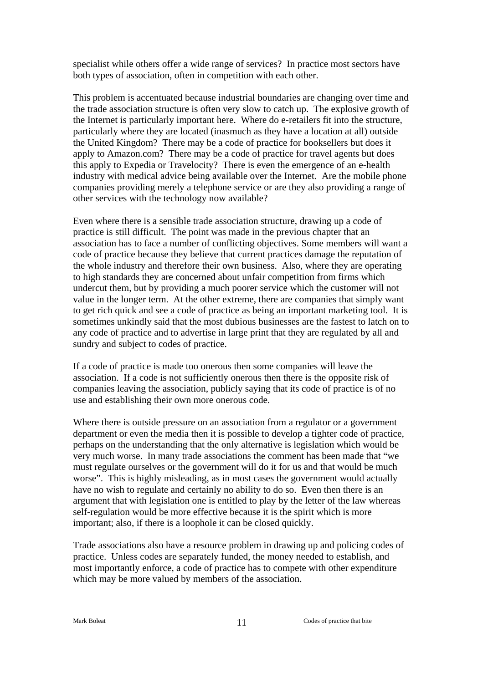specialist while others offer a wide range of services? In practice most sectors have both types of association, often in competition with each other.

This problem is accentuated because industrial boundaries are changing over time and the trade association structure is often very slow to catch up. The explosive growth of the Internet is particularly important here. Where do e-retailers fit into the structure, particularly where they are located (inasmuch as they have a location at all) outside the United Kingdom? There may be a code of practice for booksellers but does it apply to Amazon.com? There may be a code of practice for travel agents but does this apply to Expedia or Travelocity? There is even the emergence of an e-health industry with medical advice being available over the Internet. Are the mobile phone companies providing merely a telephone service or are they also providing a range of other services with the technology now available?

Even where there is a sensible trade association structure, drawing up a code of practice is still difficult. The point was made in the previous chapter that an association has to face a number of conflicting objectives. Some members will want a code of practice because they believe that current practices damage the reputation of the whole industry and therefore their own business. Also, where they are operating to high standards they are concerned about unfair competition from firms which undercut them, but by providing a much poorer service which the customer will not value in the longer term. At the other extreme, there are companies that simply want to get rich quick and see a code of practice as being an important marketing tool. It is sometimes unkindly said that the most dubious businesses are the fastest to latch on to any code of practice and to advertise in large print that they are regulated by all and sundry and subject to codes of practice.

If a code of practice is made too onerous then some companies will leave the association. If a code is not sufficiently onerous then there is the opposite risk of companies leaving the association, publicly saying that its code of practice is of no use and establishing their own more onerous code.

Where there is outside pressure on an association from a regulator or a government department or even the media then it is possible to develop a tighter code of practice, perhaps on the understanding that the only alternative is legislation which would be very much worse. In many trade associations the comment has been made that "we must regulate ourselves or the government will do it for us and that would be much worse". This is highly misleading, as in most cases the government would actually have no wish to regulate and certainly no ability to do so. Even then there is an argument that with legislation one is entitled to play by the letter of the law whereas self-regulation would be more effective because it is the spirit which is more important; also, if there is a loophole it can be closed quickly.

Trade associations also have a resource problem in drawing up and policing codes of practice. Unless codes are separately funded, the money needed to establish, and most importantly enforce, a code of practice has to compete with other expenditure which may be more valued by members of the association.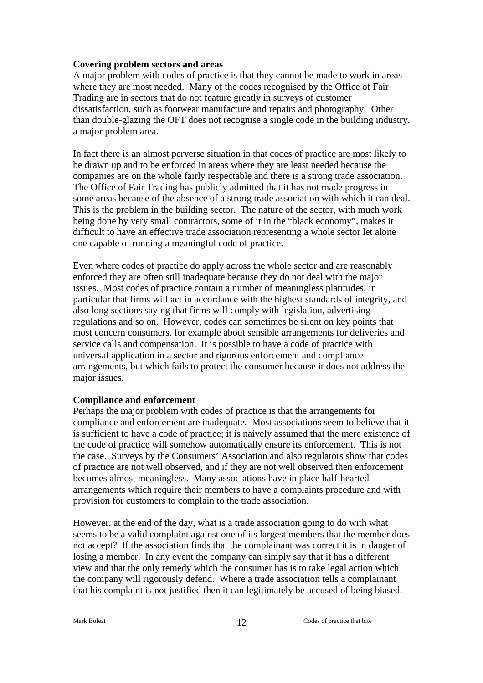#### **Covering problem sectors and areas**

A major problem with codes of practice is that they cannot be made to work in areas where they are most needed. Many of the codes recognised by the Office of Fair Trading are in sectors that do not feature greatly in surveys of customer dissatisfaction, such as footwear manufacture and repairs and photography. Other than double-glazing the OFT does not recognise a single code in the building industry, a major problem area.

In fact there is an almost perverse situation in that codes of practice are most likely to be drawn up and to be enforced in areas where they are least needed because the companies are on the whole fairly respectable and there is a strong trade association. The Office of Fair Trading has publicly admitted that it has not made progress in some areas because of the absence of a strong trade association with which it can deal. This is the problem in the building sector. The nature of the sector, with much work being done by very small contractors, some of it in the "black economy", makes it difficult to have an effective trade association representing a whole sector let alone one capable of running a meaningful code of practice.

Even where codes of practice do apply across the whole sector and are reasonably enforced they are often still inadequate because they do not deal with the major issues. Most codes of practice contain a number of meaningless platitudes, in particular that firms will act in accordance with the highest standards of integrity, and also long sections saying that firms will comply with legislation, advertising regulations and so on. However, codes can sometimes be silent on key points that most concern consumers, for example about sensible arrangements for deliveries and service calls and compensation. It is possible to have a code of practice with universal application in a sector and rigorous enforcement and compliance arrangements, but which fails to protect the consumer because it does not address the major issues.

#### **Compliance and enforcement**

Perhaps the major problem with codes of practice is that the arrangements for compliance and enforcement are inadequate. Most associations seem to believe that it is sufficient to have a code of practice; it is naively assumed that the mere existence of the code of practice will somehow automatically ensure its enforcement. This is not the case. Surveys by the Consumers' Association and also regulators show that codes of practice are not well observed, and if they are not well observed then enforcement becomes almost meaningless. Many associations have in place half-hearted arrangements which require their members to have a complaints procedure and with provision for customers to complain to the trade association.

However, at the end of the day, what is a trade association going to do with what seems to be a valid complaint against one of its largest members that the member does not accept? If the association finds that the complainant was correct it is in danger of losing a member. In any event the company can simply say that it has a different view and that the only remedy which the consumer has is to take legal action which the company will rigorously defend. Where a trade association tells a complainant that his complaint is not justified then it can legitimately be accused of being biased.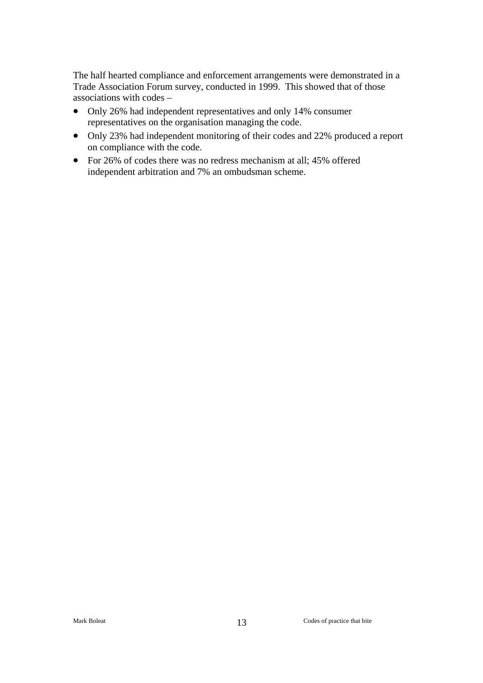The half hearted compliance and enforcement arrangements were demonstrated in a Trade Association Forum survey, conducted in 1999. This showed that of those associations with codes –

- Only 26% had independent representatives and only 14% consumer representatives on the organisation managing the code.
- Only 23% had independent monitoring of their codes and 22% produced a report on compliance with the code.
- For 26% of codes there was no redress mechanism at all; 45% offered independent arbitration and 7% an ombudsman scheme.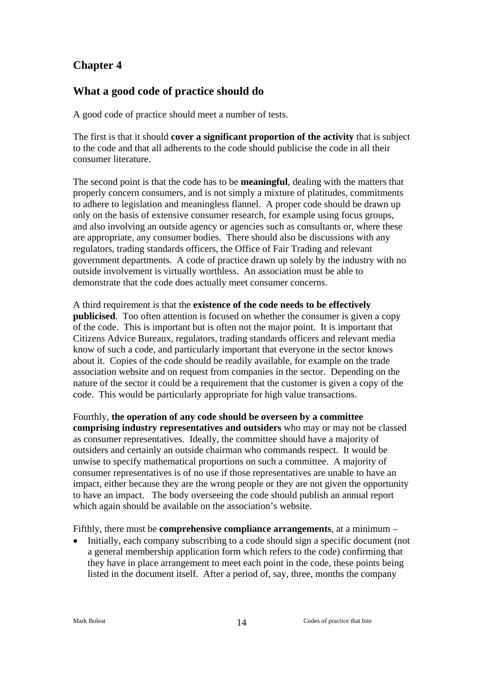## **What a good code of practice should do**

A good code of practice should meet a number of tests.

The first is that it should **cover a significant proportion of the activity** that is subject to the code and that all adherents to the code should publicise the code in all their consumer literature.

The second point is that the code has to be **meaningful**, dealing with the matters that properly concern consumers, and is not simply a mixture of platitudes, commitments to adhere to legislation and meaningless flannel. A proper code should be drawn up only on the basis of extensive consumer research, for example using focus groups, and also involving an outside agency or agencies such as consultants or, where these are appropriate, any consumer bodies. There should also be discussions with any regulators, trading standards officers, the Office of Fair Trading and relevant government departments. A code of practice drawn up solely by the industry with no outside involvement is virtually worthless. An association must be able to demonstrate that the code does actually meet consumer concerns.

A third requirement is that the **existence of the code needs to be effectively publicised**. Too often attention is focused on whether the consumer is given a copy of the code. This is important but is often not the major point. It is important that Citizens Advice Bureaux, regulators, trading standards officers and relevant media know of such a code, and particularly important that everyone in the sector knows about it. Copies of the code should be readily available, for example on the trade association website and on request from companies in the sector. Depending on the nature of the sector it could be a requirement that the customer is given a copy of the code. This would be particularly appropriate for high value transactions.

Fourthly, **the operation of any code should be overseen by a committee comprising industry representatives and outsiders** who may or may not be classed as consumer representatives. Ideally, the committee should have a majority of outsiders and certainly an outside chairman who commands respect. It would be unwise to specify mathematical proportions on such a committee. A majority of consumer representatives is of no use if those representatives are unable to have an impact, either because they are the wrong people or they are not given the opportunity to have an impact. The body overseeing the code should publish an annual report which again should be available on the association's website.

Fifthly, there must be **comprehensive compliance arrangements**, at a minimum –

• Initially, each company subscribing to a code should sign a specific document (not a general membership application form which refers to the code) confirming that they have in place arrangement to meet each point in the code, these points being listed in the document itself. After a period of, say, three, months the company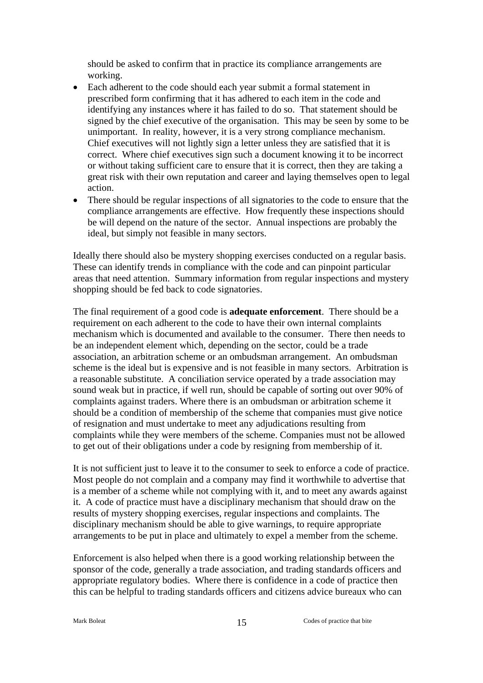should be asked to confirm that in practice its compliance arrangements are working.

- Each adherent to the code should each year submit a formal statement in prescribed form confirming that it has adhered to each item in the code and identifying any instances where it has failed to do so. That statement should be signed by the chief executive of the organisation. This may be seen by some to be unimportant. In reality, however, it is a very strong compliance mechanism. Chief executives will not lightly sign a letter unless they are satisfied that it is correct. Where chief executives sign such a document knowing it to be incorrect or without taking sufficient care to ensure that it is correct, then they are taking a great risk with their own reputation and career and laying themselves open to legal action.
- There should be regular inspections of all signatories to the code to ensure that the compliance arrangements are effective. How frequently these inspections should be will depend on the nature of the sector. Annual inspections are probably the ideal, but simply not feasible in many sectors.

Ideally there should also be mystery shopping exercises conducted on a regular basis. These can identify trends in compliance with the code and can pinpoint particular areas that need attention. Summary information from regular inspections and mystery shopping should be fed back to code signatories.

The final requirement of a good code is **adequate enforcement**. There should be a requirement on each adherent to the code to have their own internal complaints mechanism which is documented and available to the consumer. There then needs to be an independent element which, depending on the sector, could be a trade association, an arbitration scheme or an ombudsman arrangement. An ombudsman scheme is the ideal but is expensive and is not feasible in many sectors. Arbitration is a reasonable substitute. A conciliation service operated by a trade association may sound weak but in practice, if well run, should be capable of sorting out over 90% of complaints against traders. Where there is an ombudsman or arbitration scheme it should be a condition of membership of the scheme that companies must give notice of resignation and must undertake to meet any adjudications resulting from complaints while they were members of the scheme. Companies must not be allowed to get out of their obligations under a code by resigning from membership of it.

It is not sufficient just to leave it to the consumer to seek to enforce a code of practice. Most people do not complain and a company may find it worthwhile to advertise that is a member of a scheme while not complying with it, and to meet any awards against it. A code of practice must have a disciplinary mechanism that should draw on the results of mystery shopping exercises, regular inspections and complaints. The disciplinary mechanism should be able to give warnings, to require appropriate arrangements to be put in place and ultimately to expel a member from the scheme.

Enforcement is also helped when there is a good working relationship between the sponsor of the code, generally a trade association, and trading standards officers and appropriate regulatory bodies. Where there is confidence in a code of practice then this can be helpful to trading standards officers and citizens advice bureaux who can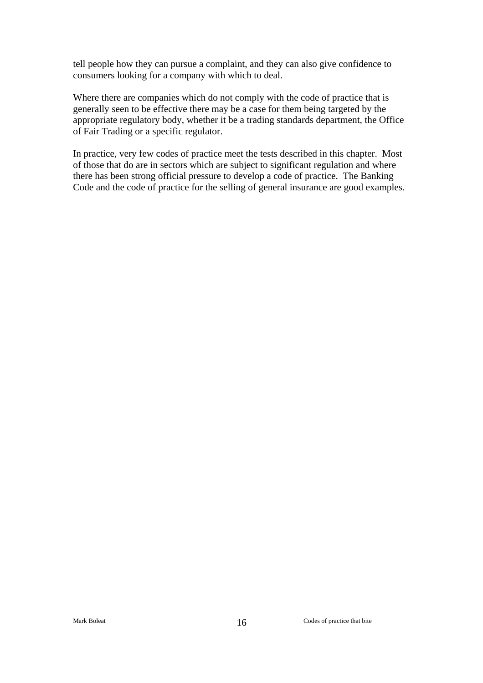tell people how they can pursue a complaint, and they can also give confidence to consumers looking for a company with which to deal.

Where there are companies which do not comply with the code of practice that is generally seen to be effective there may be a case for them being targeted by the appropriate regulatory body, whether it be a trading standards department, the Office of Fair Trading or a specific regulator.

In practice, very few codes of practice meet the tests described in this chapter. Most of those that do are in sectors which are subject to significant regulation and where there has been strong official pressure to develop a code of practice. The Banking Code and the code of practice for the selling of general insurance are good examples.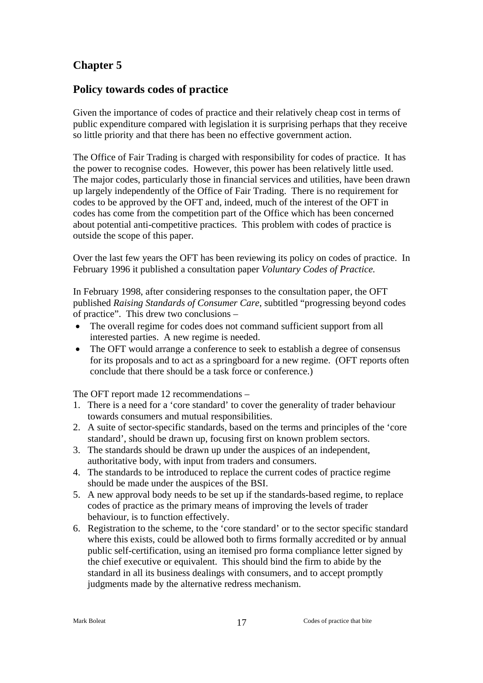## **Policy towards codes of practice**

Given the importance of codes of practice and their relatively cheap cost in terms of public expenditure compared with legislation it is surprising perhaps that they receive so little priority and that there has been no effective government action.

The Office of Fair Trading is charged with responsibility for codes of practice. It has the power to recognise codes. However, this power has been relatively little used. The major codes, particularly those in financial services and utilities, have been drawn up largely independently of the Office of Fair Trading. There is no requirement for codes to be approved by the OFT and, indeed, much of the interest of the OFT in codes has come from the competition part of the Office which has been concerned about potential anti-competitive practices. This problem with codes of practice is outside the scope of this paper.

Over the last few years the OFT has been reviewing its policy on codes of practice. In February 1996 it published a consultation paper *Voluntary Codes of Practice.*

In February 1998, after considering responses to the consultation paper, the OFT published *Raising Standards of Consumer Care*, subtitled "progressing beyond codes of practice". This drew two conclusions –

- The overall regime for codes does not command sufficient support from all interested parties. A new regime is needed.
- The OFT would arrange a conference to seek to establish a degree of consensus for its proposals and to act as a springboard for a new regime. (OFT reports often conclude that there should be a task force or conference.)

The OFT report made 12 recommendations –

- 1. There is a need for a 'core standard' to cover the generality of trader behaviour towards consumers and mutual responsibilities.
- 2. A suite of sector-specific standards, based on the terms and principles of the 'core standard', should be drawn up, focusing first on known problem sectors.
- 3. The standards should be drawn up under the auspices of an independent, authoritative body, with input from traders and consumers.
- 4. The standards to be introduced to replace the current codes of practice regime should be made under the auspices of the BSI.
- 5. A new approval body needs to be set up if the standards-based regime, to replace codes of practice as the primary means of improving the levels of trader behaviour, is to function effectively.
- 6. Registration to the scheme, to the 'core standard' or to the sector specific standard where this exists, could be allowed both to firms formally accredited or by annual public self-certification, using an itemised pro forma compliance letter signed by the chief executive or equivalent. This should bind the firm to abide by the standard in all its business dealings with consumers, and to accept promptly judgments made by the alternative redress mechanism.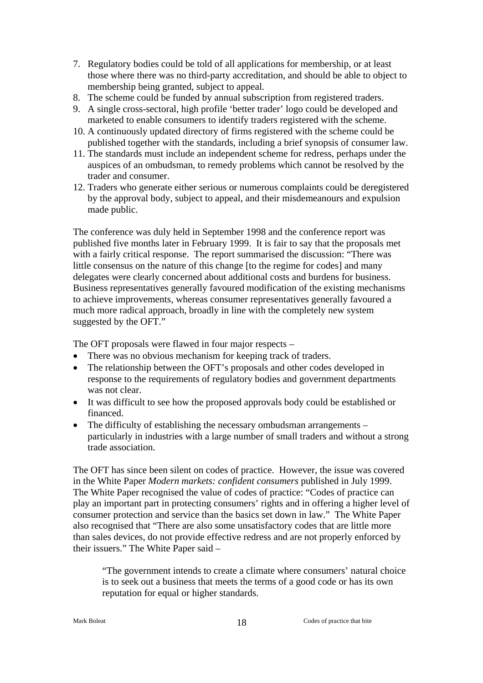- 7. Regulatory bodies could be told of all applications for membership, or at least those where there was no third-party accreditation, and should be able to object to membership being granted, subject to appeal.
- 8. The scheme could be funded by annual subscription from registered traders.
- 9. A single cross-sectoral, high profile 'better trader' logo could be developed and marketed to enable consumers to identify traders registered with the scheme.
- 10. A continuously updated directory of firms registered with the scheme could be published together with the standards, including a brief synopsis of consumer law.
- 11. The standards must include an independent scheme for redress, perhaps under the auspices of an ombudsman, to remedy problems which cannot be resolved by the trader and consumer.
- 12. Traders who generate either serious or numerous complaints could be deregistered by the approval body, subject to appeal, and their misdemeanours and expulsion made public.

The conference was duly held in September 1998 and the conference report was published five months later in February 1999. It is fair to say that the proposals met with a fairly critical response. The report summarised the discussion: "There was little consensus on the nature of this change [to the regime for codes] and many delegates were clearly concerned about additional costs and burdens for business. Business representatives generally favoured modification of the existing mechanisms to achieve improvements, whereas consumer representatives generally favoured a much more radical approach, broadly in line with the completely new system suggested by the OFT."

The OFT proposals were flawed in four major respects –

- There was no obvious mechanism for keeping track of traders.
- The relationship between the OFT's proposals and other codes developed in response to the requirements of regulatory bodies and government departments was not clear.
- It was difficult to see how the proposed approvals body could be established or financed.
- The difficulty of establishing the necessary ombudsman arrangements particularly in industries with a large number of small traders and without a strong trade association.

The OFT has since been silent on codes of practice. However, the issue was covered in the White Paper *Modern markets: confident consumers* published in July 1999. The White Paper recognised the value of codes of practice: "Codes of practice can play an important part in protecting consumers' rights and in offering a higher level of consumer protection and service than the basics set down in law." The White Paper also recognised that "There are also some unsatisfactory codes that are little more than sales devices, do not provide effective redress and are not properly enforced by their issuers." The White Paper said –

"The government intends to create a climate where consumers' natural choice is to seek out a business that meets the terms of a good code or has its own reputation for equal or higher standards.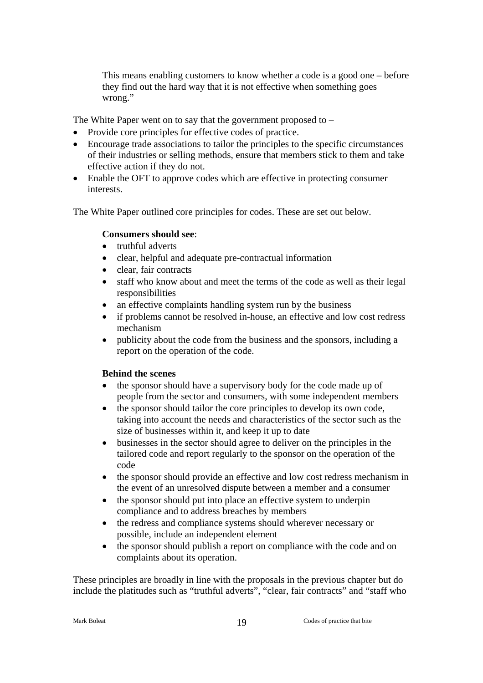This means enabling customers to know whether a code is a good one – before they find out the hard way that it is not effective when something goes wrong."

The White Paper went on to say that the government proposed to –

- Provide core principles for effective codes of practice.
- Encourage trade associations to tailor the principles to the specific circumstances of their industries or selling methods, ensure that members stick to them and take effective action if they do not.
- Enable the OFT to approve codes which are effective in protecting consumer interests.

The White Paper outlined core principles for codes. These are set out below.

#### **Consumers should see**:

- truthful adverts
- clear, helpful and adequate pre-contractual information
- clear, fair contracts
- staff who know about and meet the terms of the code as well as their legal responsibilities
- an effective complaints handling system run by the business
- if problems cannot be resolved in-house, an effective and low cost redress mechanism
- publicity about the code from the business and the sponsors, including a report on the operation of the code.

#### **Behind the scenes**

- the sponsor should have a supervisory body for the code made up of people from the sector and consumers, with some independent members
- the sponsor should tailor the core principles to develop its own code, taking into account the needs and characteristics of the sector such as the size of businesses within it, and keep it up to date
- businesses in the sector should agree to deliver on the principles in the tailored code and report regularly to the sponsor on the operation of the code
- the sponsor should provide an effective and low cost redress mechanism in the event of an unresolved dispute between a member and a consumer
- the sponsor should put into place an effective system to underpin compliance and to address breaches by members
- the redress and compliance systems should wherever necessary or possible, include an independent element
- the sponsor should publish a report on compliance with the code and on complaints about its operation.

These principles are broadly in line with the proposals in the previous chapter but do include the platitudes such as "truthful adverts", "clear, fair contracts" and "staff who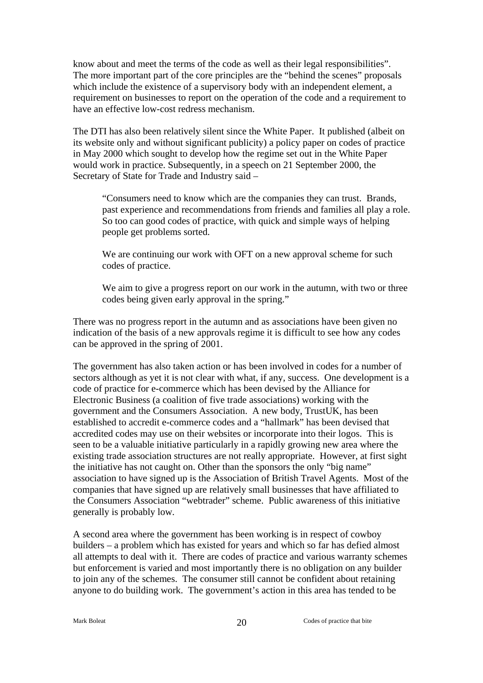know about and meet the terms of the code as well as their legal responsibilities". The more important part of the core principles are the "behind the scenes" proposals which include the existence of a supervisory body with an independent element, a requirement on businesses to report on the operation of the code and a requirement to have an effective low-cost redress mechanism.

The DTI has also been relatively silent since the White Paper. It published (albeit on its website only and without significant publicity) a policy paper on codes of practice in May 2000 which sought to develop how the regime set out in the White Paper would work in practice. Subsequently, in a speech on 21 September 2000, the Secretary of State for Trade and Industry said –

"Consumers need to know which are the companies they can trust. Brands, past experience and recommendations from friends and families all play a role. So too can good codes of practice, with quick and simple ways of helping people get problems sorted.

We are continuing our work with OFT on a new approval scheme for such codes of practice.

We aim to give a progress report on our work in the autumn, with two or three codes being given early approval in the spring."

There was no progress report in the autumn and as associations have been given no indication of the basis of a new approvals regime it is difficult to see how any codes can be approved in the spring of 2001.

The government has also taken action or has been involved in codes for a number of sectors although as yet it is not clear with what, if any, success. One development is a code of practice for e-commerce which has been devised by the Alliance for Electronic Business (a coalition of five trade associations) working with the government and the Consumers Association. A new body, TrustUK, has been established to accredit e-commerce codes and a "hallmark" has been devised that accredited codes may use on their websites or incorporate into their logos. This is seen to be a valuable initiative particularly in a rapidly growing new area where the existing trade association structures are not really appropriate. However, at first sight the initiative has not caught on. Other than the sponsors the only "big name" association to have signed up is the Association of British Travel Agents. Most of the companies that have signed up are relatively small businesses that have affiliated to the Consumers Association "webtrader" scheme. Public awareness of this initiative generally is probably low.

A second area where the government has been working is in respect of cowboy builders – a problem which has existed for years and which so far has defied almost all attempts to deal with it. There are codes of practice and various warranty schemes but enforcement is varied and most importantly there is no obligation on any builder to join any of the schemes. The consumer still cannot be confident about retaining anyone to do building work. The government's action in this area has tended to be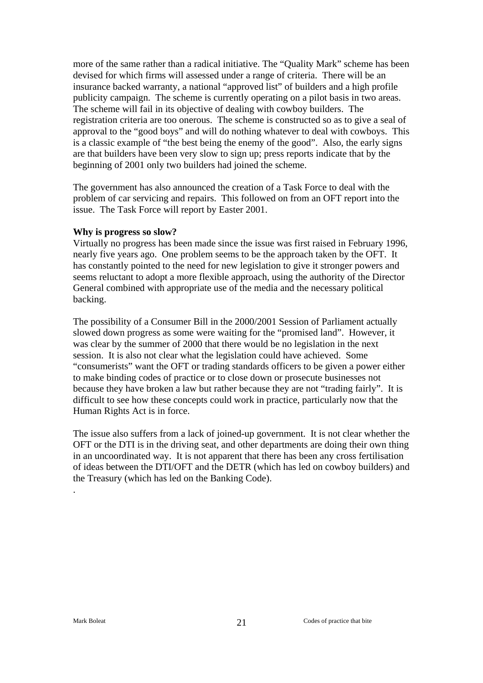more of the same rather than a radical initiative. The "Quality Mark" scheme has been devised for which firms will assessed under a range of criteria. There will be an insurance backed warranty, a national "approved list" of builders and a high profile publicity campaign. The scheme is currently operating on a pilot basis in two areas. The scheme will fail in its objective of dealing with cowboy builders. The registration criteria are too onerous. The scheme is constructed so as to give a seal of approval to the "good boys" and will do nothing whatever to deal with cowboys. This is a classic example of "the best being the enemy of the good". Also, the early signs are that builders have been very slow to sign up; press reports indicate that by the beginning of 2001 only two builders had joined the scheme.

The government has also announced the creation of a Task Force to deal with the problem of car servicing and repairs. This followed on from an OFT report into the issue. The Task Force will report by Easter 2001.

#### **Why is progress so slow?**

Virtually no progress has been made since the issue was first raised in February 1996, nearly five years ago. One problem seems to be the approach taken by the OFT. It has constantly pointed to the need for new legislation to give it stronger powers and seems reluctant to adopt a more flexible approach, using the authority of the Director General combined with appropriate use of the media and the necessary political backing.

The possibility of a Consumer Bill in the 2000/2001 Session of Parliament actually slowed down progress as some were waiting for the "promised land". However, it was clear by the summer of 2000 that there would be no legislation in the next session. It is also not clear what the legislation could have achieved. Some "consumerists" want the OFT or trading standards officers to be given a power either to make binding codes of practice or to close down or prosecute businesses not because they have broken a law but rather because they are not "trading fairly". It is difficult to see how these concepts could work in practice, particularly now that the Human Rights Act is in force.

The issue also suffers from a lack of joined-up government. It is not clear whether the OFT or the DTI is in the driving seat, and other departments are doing their own thing in an uncoordinated way. It is not apparent that there has been any cross fertilisation of ideas between the DTI/OFT and the DETR (which has led on cowboy builders) and the Treasury (which has led on the Banking Code).

.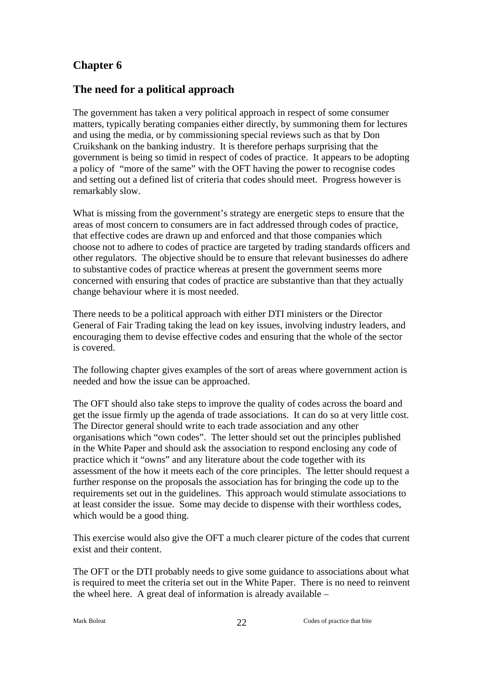### **The need for a political approach**

The government has taken a very political approach in respect of some consumer matters, typically berating companies either directly, by summoning them for lectures and using the media, or by commissioning special reviews such as that by Don Cruikshank on the banking industry. It is therefore perhaps surprising that the government is being so timid in respect of codes of practice. It appears to be adopting a policy of "more of the same" with the OFT having the power to recognise codes and setting out a defined list of criteria that codes should meet. Progress however is remarkably slow.

What is missing from the government's strategy are energetic steps to ensure that the areas of most concern to consumers are in fact addressed through codes of practice, that effective codes are drawn up and enforced and that those companies which choose not to adhere to codes of practice are targeted by trading standards officers and other regulators. The objective should be to ensure that relevant businesses do adhere to substantive codes of practice whereas at present the government seems more concerned with ensuring that codes of practice are substantive than that they actually change behaviour where it is most needed.

There needs to be a political approach with either DTI ministers or the Director General of Fair Trading taking the lead on key issues, involving industry leaders, and encouraging them to devise effective codes and ensuring that the whole of the sector is covered.

The following chapter gives examples of the sort of areas where government action is needed and how the issue can be approached.

The OFT should also take steps to improve the quality of codes across the board and get the issue firmly up the agenda of trade associations. It can do so at very little cost. The Director general should write to each trade association and any other organisations which "own codes". The letter should set out the principles published in the White Paper and should ask the association to respond enclosing any code of practice which it "owns" and any literature about the code together with its assessment of the how it meets each of the core principles. The letter should request a further response on the proposals the association has for bringing the code up to the requirements set out in the guidelines. This approach would stimulate associations to at least consider the issue. Some may decide to dispense with their worthless codes, which would be a good thing.

This exercise would also give the OFT a much clearer picture of the codes that current exist and their content.

The OFT or the DTI probably needs to give some guidance to associations about what is required to meet the criteria set out in the White Paper. There is no need to reinvent the wheel here. A great deal of information is already available –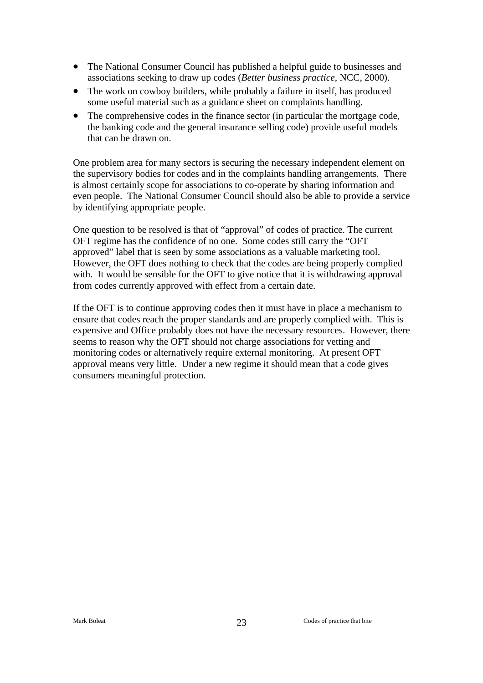- The National Consumer Council has published a helpful guide to businesses and associations seeking to draw up codes (*Better business practice*, NCC, 2000).
- The work on cowboy builders, while probably a failure in itself, has produced some useful material such as a guidance sheet on complaints handling.
- The comprehensive codes in the finance sector (in particular the mortgage code, the banking code and the general insurance selling code) provide useful models that can be drawn on.

One problem area for many sectors is securing the necessary independent element on the supervisory bodies for codes and in the complaints handling arrangements. There is almost certainly scope for associations to co-operate by sharing information and even people. The National Consumer Council should also be able to provide a service by identifying appropriate people.

One question to be resolved is that of "approval" of codes of practice. The current OFT regime has the confidence of no one. Some codes still carry the "OFT approved" label that is seen by some associations as a valuable marketing tool. However, the OFT does nothing to check that the codes are being properly complied with. It would be sensible for the OFT to give notice that it is withdrawing approval from codes currently approved with effect from a certain date.

If the OFT is to continue approving codes then it must have in place a mechanism to ensure that codes reach the proper standards and are properly complied with. This is expensive and Office probably does not have the necessary resources. However, there seems to reason why the OFT should not charge associations for vetting and monitoring codes or alternatively require external monitoring. At present OFT approval means very little. Under a new regime it should mean that a code gives consumers meaningful protection.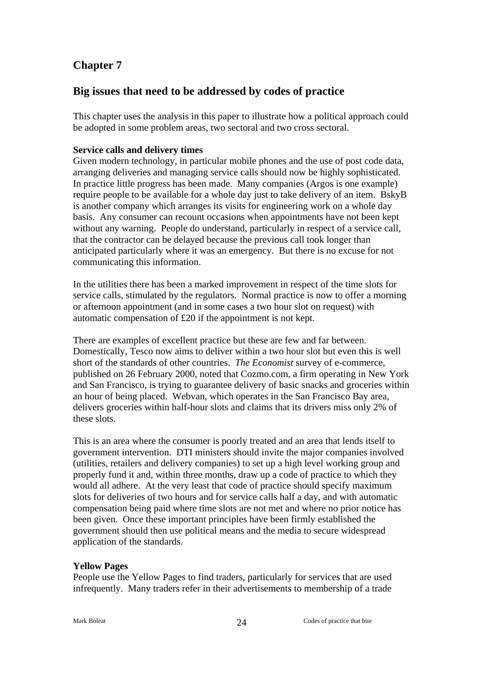## **Big issues that need to be addressed by codes of practice**

This chapter uses the analysis in this paper to illustrate how a political approach could be adopted in some problem areas, two sectoral and two cross sectoral.

#### **Service calls and delivery times**

Given modern technology, in particular mobile phones and the use of post code data, arranging deliveries and managing service calls should now be highly sophisticated. In practice little progress has been made. Many companies (Argos is one example) require people to be available for a whole day just to take delivery of an item. BskyB is another company which arranges its visits for engineering work on a whole day basis. Any consumer can recount occasions when appointments have not been kept without any warning. People do understand, particularly in respect of a service call, that the contractor can be delayed because the previous call took longer than anticipated particularly where it was an emergency. But there is no excuse for not communicating this information.

In the utilities there has been a marked improvement in respect of the time slots for service calls, stimulated by the regulators. Normal practice is now to offer a morning or afternoon appointment (and in some cases a two hour slot on request) with automatic compensation of £20 if the appointment is not kept.

There are examples of excellent practice but these are few and far between. Domestically, Tesco now aims to deliver within a two hour slot but even this is well short of the standards of other countries. *The Economist* survey of e-commerce, published on 26 February 2000, noted that Cozmo.com, a firm operating in New York and San Francisco, is trying to guarantee delivery of basic snacks and groceries within an hour of being placed. Webvan, which operates in the San Francisco Bay area, delivers groceries within half-hour slots and claims that its drivers miss only 2% of these slots.

This is an area where the consumer is poorly treated and an area that lends itself to government intervention. DTI ministers should invite the major companies involved (utilities, retailers and delivery companies) to set up a high level working group and properly fund it and, within three months, draw up a code of practice to which they would all adhere. At the very least that code of practice should specify maximum slots for deliveries of two hours and for service calls half a day, and with automatic compensation being paid where time slots are not met and where no prior notice has been given. Once these important principles have been firmly established the government should then use political means and the media to secure widespread application of the standards.

### **Yellow Pages**

People use the Yellow Pages to find traders, particularly for services that are used infrequently. Many traders refer in their advertisements to membership of a trade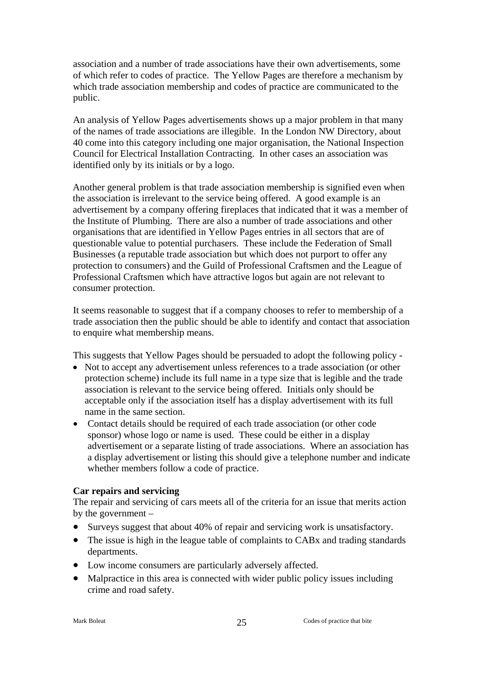association and a number of trade associations have their own advertisements, some of which refer to codes of practice. The Yellow Pages are therefore a mechanism by which trade association membership and codes of practice are communicated to the public.

An analysis of Yellow Pages advertisements shows up a major problem in that many of the names of trade associations are illegible. In the London NW Directory, about 40 come into this category including one major organisation, the National Inspection Council for Electrical Installation Contracting. In other cases an association was identified only by its initials or by a logo.

Another general problem is that trade association membership is signified even when the association is irrelevant to the service being offered. A good example is an advertisement by a company offering fireplaces that indicated that it was a member of the Institute of Plumbing. There are also a number of trade associations and other organisations that are identified in Yellow Pages entries in all sectors that are of questionable value to potential purchasers. These include the Federation of Small Businesses (a reputable trade association but which does not purport to offer any protection to consumers) and the Guild of Professional Craftsmen and the League of Professional Craftsmen which have attractive logos but again are not relevant to consumer protection.

It seems reasonable to suggest that if a company chooses to refer to membership of a trade association then the public should be able to identify and contact that association to enquire what membership means.

This suggests that Yellow Pages should be persuaded to adopt the following policy -

- Not to accept any advertisement unless references to a trade association (or other protection scheme) include its full name in a type size that is legible and the trade association is relevant to the service being offered. Initials only should be acceptable only if the association itself has a display advertisement with its full name in the same section.
- Contact details should be required of each trade association (or other code sponsor) whose logo or name is used. These could be either in a display advertisement or a separate listing of trade associations. Where an association has a display advertisement or listing this should give a telephone number and indicate whether members follow a code of practice.

#### **Car repairs and servicing**

The repair and servicing of cars meets all of the criteria for an issue that merits action by the government –

- Surveys suggest that about 40% of repair and servicing work is unsatisfactory.
- The issue is high in the league table of complaints to CABx and trading standards departments.
- Low income consumers are particularly adversely affected.
- Malpractice in this area is connected with wider public policy issues including crime and road safety.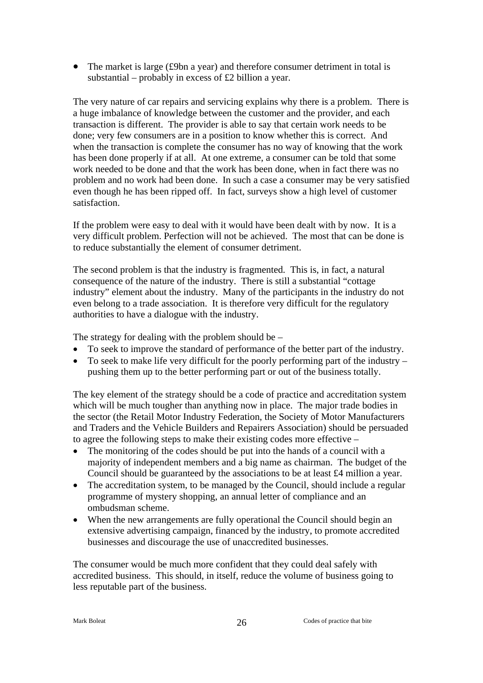• The market is large (£9bn a year) and therefore consumer detriment in total is substantial – probably in excess of £2 billion a year.

The very nature of car repairs and servicing explains why there is a problem. There is a huge imbalance of knowledge between the customer and the provider, and each transaction is different. The provider is able to say that certain work needs to be done; very few consumers are in a position to know whether this is correct. And when the transaction is complete the consumer has no way of knowing that the work has been done properly if at all. At one extreme, a consumer can be told that some work needed to be done and that the work has been done, when in fact there was no problem and no work had been done. In such a case a consumer may be very satisfied even though he has been ripped off. In fact, surveys show a high level of customer satisfaction.

If the problem were easy to deal with it would have been dealt with by now. It is a very difficult problem. Perfection will not be achieved. The most that can be done is to reduce substantially the element of consumer detriment.

The second problem is that the industry is fragmented. This is, in fact, a natural consequence of the nature of the industry. There is still a substantial "cottage industry" element about the industry. Many of the participants in the industry do not even belong to a trade association. It is therefore very difficult for the regulatory authorities to have a dialogue with the industry.

The strategy for dealing with the problem should be –

- To seek to improve the standard of performance of the better part of the industry.
- To seek to make life very difficult for the poorly performing part of the industry pushing them up to the better performing part or out of the business totally.

The key element of the strategy should be a code of practice and accreditation system which will be much tougher than anything now in place. The major trade bodies in the sector (the Retail Motor Industry Federation, the Society of Motor Manufacturers and Traders and the Vehicle Builders and Repairers Association) should be persuaded to agree the following steps to make their existing codes more effective –

- The monitoring of the codes should be put into the hands of a council with a majority of independent members and a big name as chairman. The budget of the Council should be guaranteed by the associations to be at least £4 million a year.
- The accreditation system, to be managed by the Council, should include a regular programme of mystery shopping, an annual letter of compliance and an ombudsman scheme.
- When the new arrangements are fully operational the Council should begin an extensive advertising campaign, financed by the industry, to promote accredited businesses and discourage the use of unaccredited businesses.

The consumer would be much more confident that they could deal safely with accredited business. This should, in itself, reduce the volume of business going to less reputable part of the business.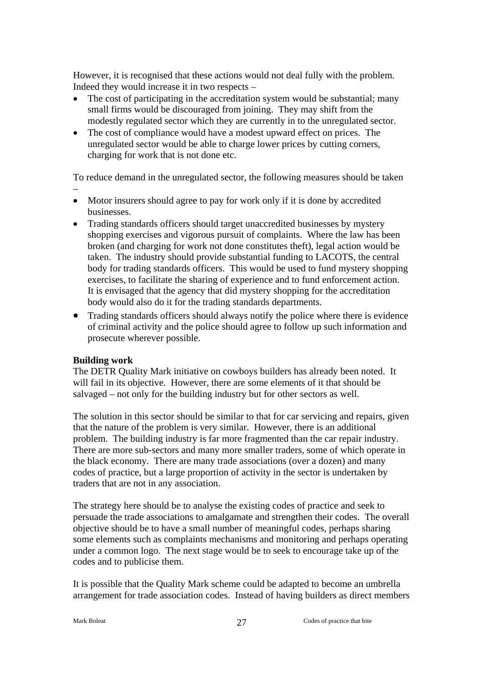However, it is recognised that these actions would not deal fully with the problem. Indeed they would increase it in two respects –

- The cost of participating in the accreditation system would be substantial; many small firms would be discouraged from joining. They may shift from the modestly regulated sector which they are currently in to the unregulated sector.
- The cost of compliance would have a modest upward effect on prices. The unregulated sector would be able to charge lower prices by cutting corners, charging for work that is not done etc.

To reduce demand in the unregulated sector, the following measures should be taken

- –
- Motor insurers should agree to pay for work only if it is done by accredited businesses.
- Trading standards officers should target unaccredited businesses by mystery shopping exercises and vigorous pursuit of complaints. Where the law has been broken (and charging for work not done constitutes theft), legal action would be taken. The industry should provide substantial funding to LACOTS, the central body for trading standards officers. This would be used to fund mystery shopping exercises, to facilitate the sharing of experience and to fund enforcement action. It is envisaged that the agency that did mystery shopping for the accreditation body would also do it for the trading standards departments.
- Trading standards officers should always notify the police where there is evidence of criminal activity and the police should agree to follow up such information and prosecute wherever possible.

#### **Building work**

The DETR Quality Mark initiative on cowboys builders has already been noted. It will fail in its objective. However, there are some elements of it that should be salvaged – not only for the building industry but for other sectors as well.

The solution in this sector should be similar to that for car servicing and repairs, given that the nature of the problem is very similar. However, there is an additional problem. The building industry is far more fragmented than the car repair industry. There are more sub-sectors and many more smaller traders, some of which operate in the black economy. There are many trade associations (over a dozen) and many codes of practice, but a large proportion of activity in the sector is undertaken by traders that are not in any association.

The strategy here should be to analyse the existing codes of practice and seek to persuade the trade associations to amalgamate and strengthen their codes. The overall objective should be to have a small number of meaningful codes, perhaps sharing some elements such as complaints mechanisms and monitoring and perhaps operating under a common logo. The next stage would be to seek to encourage take up of the codes and to publicise them.

It is possible that the Quality Mark scheme could be adapted to become an umbrella arrangement for trade association codes. Instead of having builders as direct members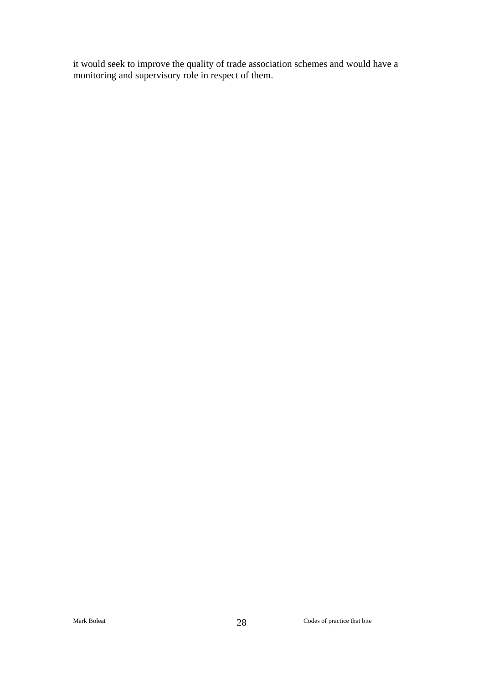it would seek to improve the quality of trade association schemes and would have a monitoring and supervisory role in respect of them.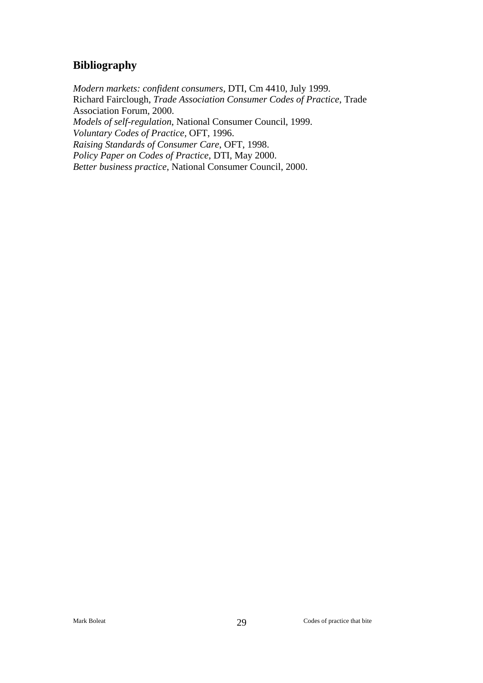## **Bibliography**

*Modern markets: confident consumers*, DTI, Cm 4410, July 1999. Richard Fairclough, *Trade Association Consumer Codes of Practice*, Trade Association Forum, 2000. *Models of self-regulation*, National Consumer Council, 1999. *Voluntary Codes of Practice,* OFT, 1996. *Raising Standards of Consumer Care*, OFT, 1998. *Policy Paper on Codes of Practice*, DTI, May 2000. *Better business practice*, National Consumer Council, 2000.